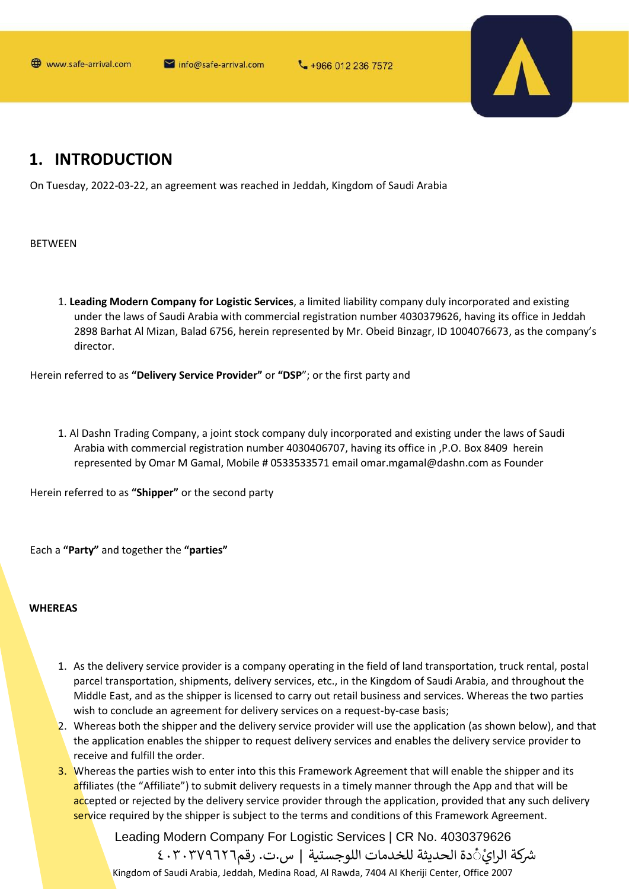

## 1. INTRODUCTION

On Tuesday, 2022-03-22, an agreement was reached in Jeddah, Kingdom of Saudi Arabia

**BETWEEN** 

1. Leading Modern Company for Logistic Services, a limited liability company duly incorporated and existing under the laws of Saudi Arabia with commercial registration number 4030379626, having its office in Jeddah 2898 Barhat Al Mizan, Balad 6756, herein represented by Mr. Obeid Binzagr, ID 1004076673, as the company's director.

Herein referred to as "Delivery Service Provider" or "DSP"; or the first party and

1. Al Dashn Trading Company, a joint stock company duly incorporated and existing under the laws of Saudi Arabia with commercial registration number 4030406707, having its office in , P.O. Box 8409 herein represented by Omar M Gamal, Mobile # 0533533571 email omar.mgamal@dashn.com as Founder

Herein referred to as "Shipper" or the second party

Each a "Party" and together the "parties"

### **WHEREAS**

- 1. As the delivery service provider is a company operating in the field of land transportation, truck rental, postal parcel transportation, shipments, delivery services, etc., in the Kingdom of Saudi Arabia, and throughout the Middle East, and as the shipper is licensed to carry out retail business and services. Whereas the two parties wish to conclude an agreement for delivery services on a request-by-case basis;
- 2. Whereas both the shipper and the delivery service provider will use the application (as shown below), and that the application enables the shipper to request delivery services and enables the delivery service provider to receive and fulfill the order.
- 3. Whereas the parties wish to enter into this this Framework Agreement that will enable the shipper and its affiliates (the "Affiliate") to submit delivery requests in a timely manner through the App and that will be accepted or rejected by the delivery service provider through the application, provided that any such delivery service required by the shipper is subject to the terms and conditions of this Framework Agreement.

Leading Modern Company For Logistic Services | CR No. 4030379626 شركة الرايَّ دة الحديثة للخدمات اللوجستية | س.ت. رقم٢٠٣٧٩٦٢٦ ٤٠٣ Kingdom of Saudi Arabia, Jeddah, Medina Road, Al Rawda, 7404 Al Kheriji Center, Office 2007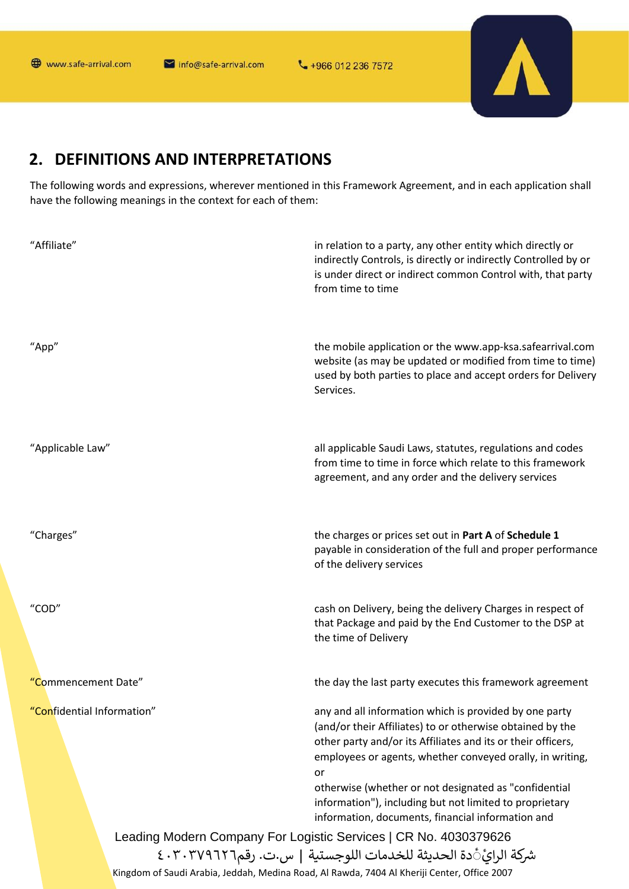₹+966 012 236 7572



## 2. DEFINITIONS AND INTERPRETATIONS

The following words and expressions, wherever mentioned in this Framework Agreement, and in each application shall have the following meanings in the context for each of them:

| "Affiliate"                | in relation to a party, any other entity which directly or<br>indirectly Controls, is directly or indirectly Controlled by or<br>is under direct or indirect common Control with, that party<br>from time to time                                                                                                                                                          |
|----------------------------|----------------------------------------------------------------------------------------------------------------------------------------------------------------------------------------------------------------------------------------------------------------------------------------------------------------------------------------------------------------------------|
| "App"                      | the mobile application or the www.app-ksa.safearrival.com<br>website (as may be updated or modified from time to time)<br>used by both parties to place and accept orders for Delivery<br>Services.                                                                                                                                                                        |
| "Applicable Law"           | all applicable Saudi Laws, statutes, regulations and codes<br>from time to time in force which relate to this framework<br>agreement, and any order and the delivery services                                                                                                                                                                                              |
| "Charges"                  | the charges or prices set out in Part A of Schedule 1<br>payable in consideration of the full and proper performance<br>of the delivery services                                                                                                                                                                                                                           |
| "COD"                      | cash on Delivery, being the delivery Charges in respect of<br>that Package and paid by the End Customer to the DSP at<br>the time of Delivery                                                                                                                                                                                                                              |
| "Commencement Date"        | the day the last party executes this framework agreement                                                                                                                                                                                                                                                                                                                   |
| 'Confidential Information" | any and all information which is provided by one party<br>(and/or their Affiliates) to or otherwise obtained by the<br>other party and/or its Affiliates and its or their officers,<br>employees or agents, whether conveyed orally, in writing,<br>or<br>otherwise (whether or not designated as "confidential<br>information"), including but not limited to proprietary |
|                            | information, documents, financial information and                                                                                                                                                                                                                                                                                                                          |
|                            | Leading Modern Company For Logistic Services   CR No. 4030379626                                                                                                                                                                                                                                                                                                           |
|                            | شركة الرائِّ دة الحديثة للخدمات اللوجستية   س.ت. رقم٢٠٣٧٩٦٢٦ ٤٠٣                                                                                                                                                                                                                                                                                                           |
|                            | Kingdom of Saudi Arabia, Jeddah, Medina Road, Al Rawda, 7404 Al Kheriji Center, Office 2007                                                                                                                                                                                                                                                                                |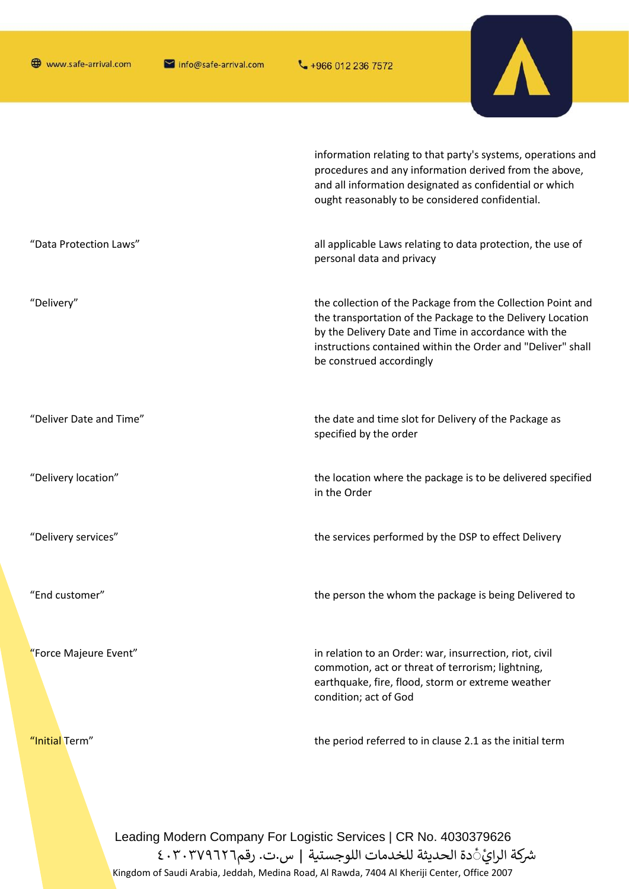"Initial Term"

info@safe-arrival.com



information relating to that party's systems, operations and procedures and any information derived from the above, and all information designated as confidential or which ought reasonably to be considered confidential.

the period referred to in clause 2.1 as the initial term

"Data Protection Laws" all applicable Laws relating to data protection, the use of personal data and privacy "Delivery" the collection of the Package from the Collection Point and the transportation of the Package to the Delivery Location by the Delivery Date and Time in accordance with the instructions contained within the Order and "Deliver" shall be construed accordingly "Deliver Date and Time" the date and time slot for Delivery of the Package as specified by the order the location where the package is to be delivered specified "Delivery location" in the Order "Delivery services" the services performed by the DSP to effect Delivery "End customer" the person the whom the package is being Delivered to "Force Majeure Event" in relation to an Order: war, insurrection, riot, civil commotion, act or threat of terrorism; lightning, earthquake, fire, flood, storm or extreme weather condition; act of God

> Leading Modern Company For Logistic Services | CR No. 4030379626 شركة الرايَّ ْدة الحديثة للخدمات اللوجستية | س.ت. رقم٢٠٣٧٩٦٢٦ ٤٠٣ Kingdom of Saudi Arabia, Jeddah, Medina Road, Al Rawda, 7404 Al Kheriji Center, Office 2007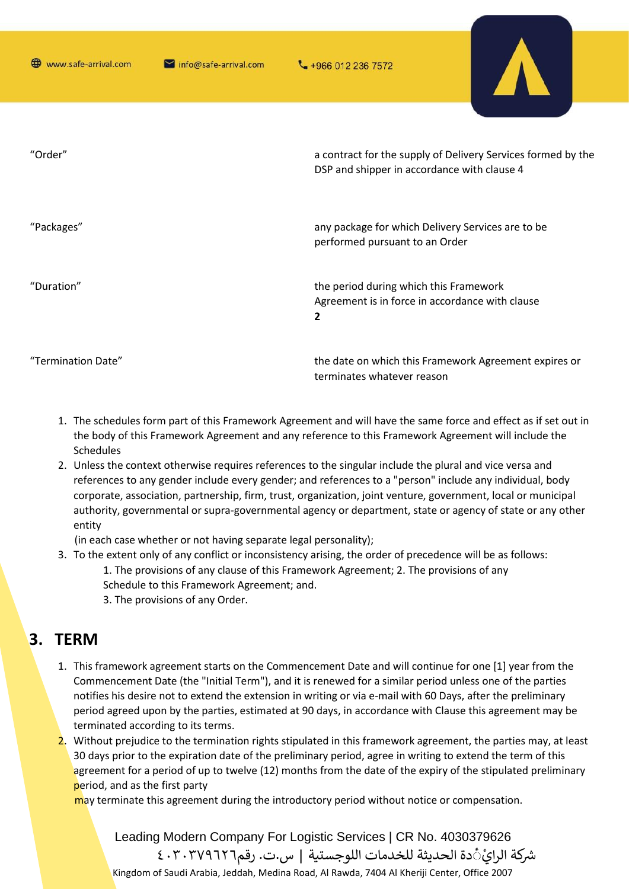

| "Order"            | a contract for the supply of Delivery Services formed by the<br>DSP and shipper in accordance with clause 4 |
|--------------------|-------------------------------------------------------------------------------------------------------------|
| "Packages"         | any package for which Delivery Services are to be<br>performed pursuant to an Order                         |
| "Duration"         | the period during which this Framework<br>Agreement is in force in accordance with clause<br>$\mathbf{2}$   |
| "Termination Date" | the date on which this Framework Agreement expires or<br>terminates whatever reason                         |

- 1. The schedules form part of this Framework Agreement and will have the same force and effect as if set out in the body of this Framework Agreement and any reference to this Framework Agreement will include the Schedules
- 2. Unless the context otherwise requires references to the singular include the plural and vice versa and references to any gender include every gender; and references to a "person" include any individual, body corporate, association, partnership, firm, trust, organization, joint venture, government, local or municipal authority, governmental or supra-governmental agency or department, state or agency of state or any other entity
	- (in each case whether or not having separate legal personality);
- 3. To the extent only of any conflict or inconsistency arising, the order of precedence will be as follows: 1. The provisions of any clause of this Framework Agreement; 2. The provisions of any
	- Schedule to this Framework Agreement; and.
		- 3. The provisions of any Order.

## 3. TERM

- 1. This framework agreement starts on the Commencement Date and will continue for one [1] year from the Commencement Date (the "Initial Term"), and it is renewed for a similar period unless one of the parties notifies his desire not to extend the extension in writing or via e-mail with 60 Days, after the preliminary period agreed upon by the parties, estimated at 90 days, in accordance with Clause this agreement may be terminated according to its terms.
- 2. Without prejudice to the termination rights stipulated in this framework agreement, the parties may, at least 30 days prior to the expiration date of the preliminary period, agree in writing to extend the term of this agreement for a period of up to twelve (12) months from the date of the expiry of the stipulated preliminary period, and as the first party

may terminate this agreement during the introductory period without notice or compensation.

Leading Modern Company For Logistic Services | CR No. 4030379626 شركة الرائِ1َ دة الحديثة للخدمات اللوجستية | س.ت. رقم٢٠٣٧٩٦٢٦ ٤٠٣ Kingdom of Saudi Arabia, Jeddah, Medina Road, Al Rawda, 7404 Al Kheriji Center, Office 2007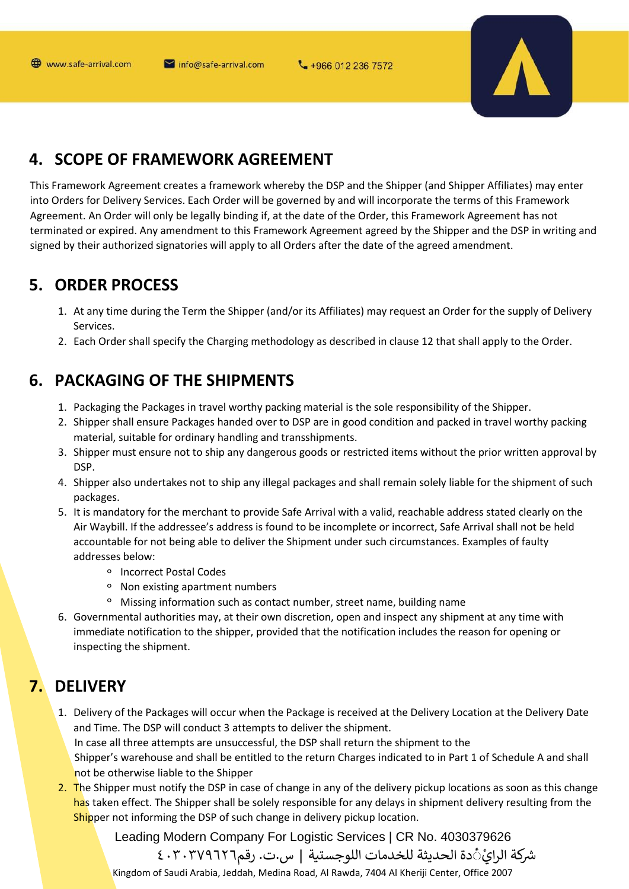₹+966 012 236 7572



## 4. SCOPE OF FRAMEWORK AGREEMENT

This Framework Agreement creates a framework whereby the DSP and the Shipper (and Shipper Affiliates) may enter into Orders for Delivery Services. Each Order will be governed by and will incorporate the terms of this Framework Agreement. An Order will only be legally binding if, at the date of the Order, this Framework Agreement has not terminated or expired. Any amendment to this Framework Agreement agreed by the Shipper and the DSP in writing and signed by their authorized signatories will apply to all Orders after the date of the agreed amendment.

## **5. ORDER PROCESS**

- 1. At any time during the Term the Shipper (and/or its Affiliates) may request an Order for the supply of Delivery Services.
- 2. Each Order shall specify the Charging methodology as described in clause 12 that shall apply to the Order.

# **6. PACKAGING OF THE SHIPMENTS**

- 1. Packaging the Packages in travel worthy packing material is the sole responsibility of the Shipper.
- 2. Shipper shall ensure Packages handed over to DSP are in good condition and packed in travel worthy packing material, suitable for ordinary handling and transshipments.
- 3. Shipper must ensure not to ship any dangerous goods or restricted items without the prior written approval by DSP.
- 4. Shipper also undertakes not to ship any illegal packages and shall remain solely liable for the shipment of such packages.
- 5. It is mandatory for the merchant to provide Safe Arrival with a valid, reachable address stated clearly on the Air Waybill. If the addressee's address is found to be incomplete or incorrect, Safe Arrival shall not be held accountable for not being able to deliver the Shipment under such circumstances. Examples of faulty addresses below:
	- <sup>o</sup> Incorrect Postal Codes
	- <sup>o</sup> Non existing apartment numbers
	- <sup>o</sup> Missing information such as contact number, street name, building name
- 6. Governmental authorities may, at their own discretion, open and inspect any shipment at any time with immediate notification to the shipper, provided that the notification includes the reason for opening or inspecting the shipment.

# **7. DELIVERY**

- 1. Delivery of the Packages will occur when the Package is received at the Delivery Location at the Delivery Date and Time. The DSP will conduct 3 attempts to deliver the shipment. In case all three attempts are unsuccessful, the DSP shall return the shipment to the Shipper's warehouse and shall be entitled to the return Charges indicated to in Part 1 of Schedule A and shall not be otherwise liable to the Shipper
- 2. The Shipper must notify the DSP in case of change in any of the delivery pickup locations as soon as this change has taken effect. The Shipper shall be solely responsible for any delays in shipment delivery resulting from the Shipper not informing the DSP of such change in delivery pickup location.

Leading Modern Company For Logistic Services | CR No. 4030379626 شركة الرائَّ دة الحديثة للخدمات اللوجستية | س.ت. رقم٢٠٣٧٩٦٢٦ ٤٠٣

Kingdom of Saudi Arabia, Jeddah, Medina Road, Al Rawda, 7404 Al Kheriji Center, Office 2007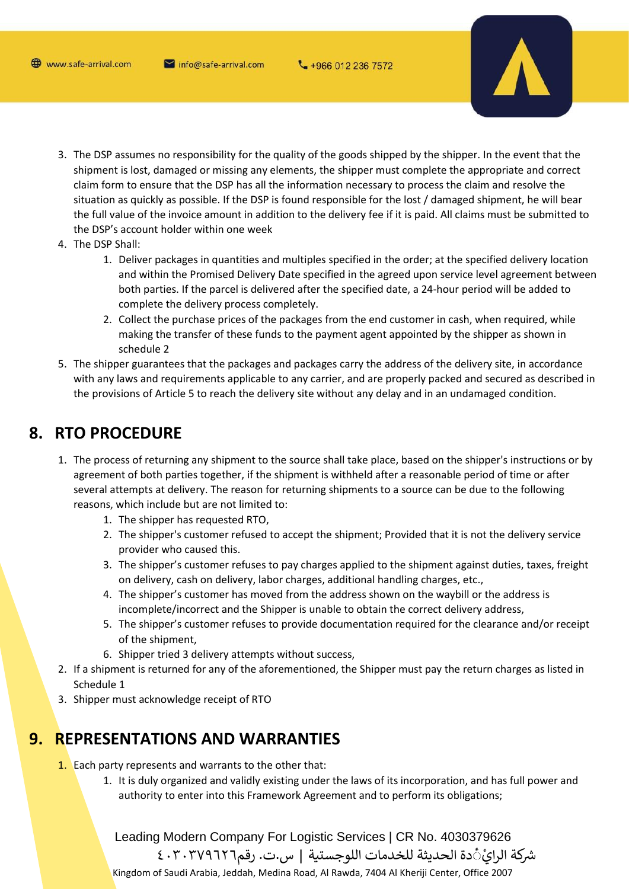www.safe-arrival.com

mfo@safe-arrival.com



- 3. The DSP assumes no responsibility for the quality of the goods shipped by the shipper. In the event that the shipment is lost, damaged or missing any elements, the shipper must complete the appropriate and correct claim form to ensure that the DSP has all the information necessary to process the claim and resolve the situation as quickly as possible. If the DSP is found responsible for the lost / damaged shipment, he will bear the full value of the invoice amount in addition to the delivery fee if it is paid. All claims must be submitted to the DSP's account holder within one week
- 4. The DSP Shall:
	- 1. Deliver packages in quantities and multiples specified in the order; at the specified delivery location and within the Promised Delivery Date specified in the agreed upon service level agreement between both parties. If the parcel is delivered after the specified date, a 24-hour period will be added to complete the delivery process completely.
	- 2. Collect the purchase prices of the packages from the end customer in cash, when required, while making the transfer of these funds to the payment agent appointed by the shipper as shown in schedule 2
- 5. The shipper guarantees that the packages and packages carry the address of the delivery site, in accordance with any laws and requirements applicable to any carrier, and are properly packed and secured as described in the provisions of Article 5 to reach the delivery site without any delay and in an undamaged condition.

## 8. RTO PROCEDURE

- 1. The process of returning any shipment to the source shall take place, based on the shipper's instructions or by agreement of both parties together, if the shipment is withheld after a reasonable period of time or after several attempts at delivery. The reason for returning shipments to a source can be due to the following reasons, which include but are not limited to:
	- 1. The shipper has requested RTO,
	- 2. The shipper's customer refused to accept the shipment; Provided that it is not the delivery service provider who caused this.
	- 3. The shipper's customer refuses to pay charges applied to the shipment against duties, taxes, freight on delivery, cash on delivery, labor charges, additional handling charges, etc.,
	- 4. The shipper's customer has moved from the address shown on the waybill or the address is incomplete/incorrect and the Shipper is unable to obtain the correct delivery address,
	- 5. The shipper's customer refuses to provide documentation required for the clearance and/or receipt of the shipment,
	- 6. Shipper tried 3 delivery attempts without success.
- 2. If a shipment is returned for any of the aforementioned, the Shipper must pay the return charges as listed in Schedule 1
- 3. Shipper must acknowledge receipt of RTO

## 9. REPRESENTATIONS AND WARRANTIES

- 1. Each party represents and warrants to the other that:
	- 1. It is duly organized and validly existing under the laws of its incorporation, and has full power and authority to enter into this Framework Agreement and to perform its obligations;

Leading Modern Company For Logistic Services | CR No. 4030379626 شركة الرائَّ دة الحديثة للخدمات اللوجستية | س.ت. رقم٢٠٣٧٩٦٢٦ ٤٠٣

Kingdom of Saudi Arabia, Jeddah, Medina Road, Al Rawda, 7404 Al Kheriji Center, Office 2007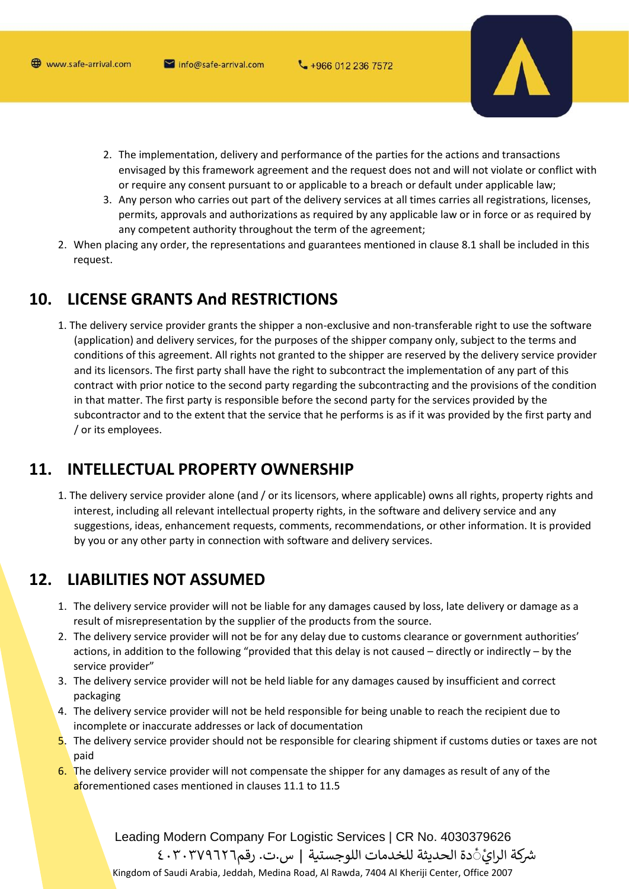

- 2. The implementation, delivery and performance of the parties for the actions and transactions envisaged by this framework agreement and the request does not and will not violate or conflict with or require any consent pursuant to or applicable to a breach or default under applicable law;
- 3. Any person who carries out part of the delivery services at all times carries all registrations, licenses, permits, approvals and authorizations as required by any applicable law or in force or as required by any competent authority throughout the term of the agreement;
- 2. When placing any order, the representations and guarantees mentioned in clause 8.1 shall be included in this request.

#### 10. **LICENSE GRANTS And RESTRICTIONS**

1. The delivery service provider grants the shipper a non-exclusive and non-transferable right to use the software (application) and delivery services, for the purposes of the shipper company only, subject to the terms and conditions of this agreement. All rights not granted to the shipper are reserved by the delivery service provider and its licensors. The first party shall have the right to subcontract the implementation of any part of this contract with prior notice to the second party regarding the subcontracting and the provisions of the condition in that matter. The first party is responsible before the second party for the services provided by the subcontractor and to the extent that the service that he performs is as if it was provided by the first party and / or its employees.

#### 11. **INTELLECTUAL PROPERTY OWNERSHIP**

1. The delivery service provider alone (and / or its licensors, where applicable) owns all rights, property rights and interest, including all relevant intellectual property rights, in the software and delivery service and any suggestions, ideas, enhancement requests, comments, recommendations, or other information. It is provided by you or any other party in connection with software and delivery services.

#### $12.$ **LIABILITIES NOT ASSUMED**

- 1. The delivery service provider will not be liable for any damages caused by loss, late delivery or damage as a result of misrepresentation by the supplier of the products from the source.
- 2. The delivery service provider will not be for any delay due to customs clearance or government authorities' actions, in addition to the following "provided that this delay is not caused - directly or indirectly - by the service provider"
- 3. The delivery service provider will not be held liable for any damages caused by insufficient and correct packaging
- 4. The delivery service provider will not be held responsible for being unable to reach the recipient due to incomplete or inaccurate addresses or lack of documentation
- 5. The delivery service provider should not be responsible for clearing shipment if customs duties or taxes are not paid
- 6. The delivery service provider will not compensate the shipper for any damages as result of any of the aforementioned cases mentioned in clauses 11.1 to 11.5

Leading Modern Company For Logistic Services | CR No. 4030379626 شركة الرائَّ دة الحديثة للخدمات اللوجستية | س.ت. رقم٢٠٣٧٩٦٢٦ ٤٠٣ Kingdom of Saudi Arabia, Jeddah, Medina Road, Al Rawda, 7404 Al Kheriji Center, Office 2007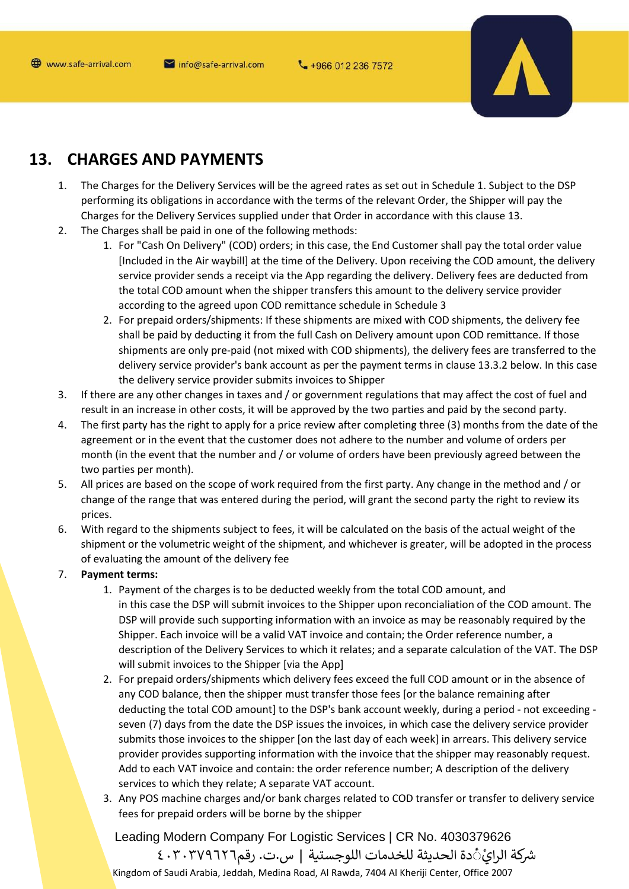

#### $13.$ **CHARGES AND PAYMENTS**

- $1.$ The Charges for the Delivery Services will be the agreed rates as set out in Schedule 1. Subject to the DSP performing its obligations in accordance with the terms of the relevant Order, the Shipper will pay the Charges for the Delivery Services supplied under that Order in accordance with this clause 13.
- $2.$ The Charges shall be paid in one of the following methods:
	- 1. For "Cash On Delivery" (COD) orders; in this case, the End Customer shall pay the total order value [Included in the Air waybill] at the time of the Delivery. Upon receiving the COD amount, the delivery service provider sends a receipt via the App regarding the delivery. Delivery fees are deducted from the total COD amount when the shipper transfers this amount to the delivery service provider according to the agreed upon COD remittance schedule in Schedule 3
	- 2. For prepaid orders/shipments: If these shipments are mixed with COD shipments, the delivery fee shall be paid by deducting it from the full Cash on Delivery amount upon COD remittance. If those shipments are only pre-paid (not mixed with COD shipments), the delivery fees are transferred to the delivery service provider's bank account as per the payment terms in clause 13.3.2 below. In this case the delivery service provider submits invoices to Shipper
- $3.$ If there are any other changes in taxes and / or government regulations that may affect the cost of fuel and result in an increase in other costs, it will be approved by the two parties and paid by the second party.
- The first party has the right to apply for a price review after completing three (3) months from the date of the  $\mathbf{4}$ . agreement or in the event that the customer does not adhere to the number and volume of orders per month (in the event that the number and / or volume of orders have been previously agreed between the two parties per month).
- All prices are based on the scope of work required from the first party. Any change in the method and / or 5. change of the range that was entered during the period, will grant the second party the right to review its prices.
- With regard to the shipments subject to fees, it will be calculated on the basis of the actual weight of the 6. shipment or the volumetric weight of the shipment, and whichever is greater, will be adopted in the process of evaluating the amount of the delivery fee
- $7.$ **Payment terms:** 
	- 1. Payment of the charges is to be deducted weekly from the total COD amount, and in this case the DSP will submit invoices to the Shipper upon reconcialiation of the COD amount. The DSP will provide such supporting information with an invoice as may be reasonably required by the Shipper. Each invoice will be a valid VAT invoice and contain; the Order reference number, a description of the Delivery Services to which it relates; and a separate calculation of the VAT. The DSP will submit invoices to the Shipper [via the App]
	- 2. For prepaid orders/shipments which delivery fees exceed the full COD amount or in the absence of any COD balance, then the shipper must transfer those fees [or the balance remaining after deducting the total COD amount] to the DSP's bank account weekly, during a period - not exceeding seven (7) days from the date the DSP issues the invoices, in which case the delivery service provider submits those invoices to the shipper [on the last day of each week] in arrears. This delivery service provider provides supporting information with the invoice that the shipper may reasonably request. Add to each VAT invoice and contain: the order reference number; A description of the delivery services to which they relate; A separate VAT account.
	- 3. Any POS machine charges and/or bank charges related to COD transfer or transfer to delivery service fees for prepaid orders will be borne by the shipper

Leading Modern Company For Logistic Services | CR No. 4030379626 شركة الرائَّ دة الحديثة للخدمات اللوجستية | س.ت. رقم٢٠٣٧٩٦٢٦ ٤٠٣

Kingdom of Saudi Arabia, Jeddah, Medina Road, Al Rawda, 7404 Al Kheriji Center, Office 2007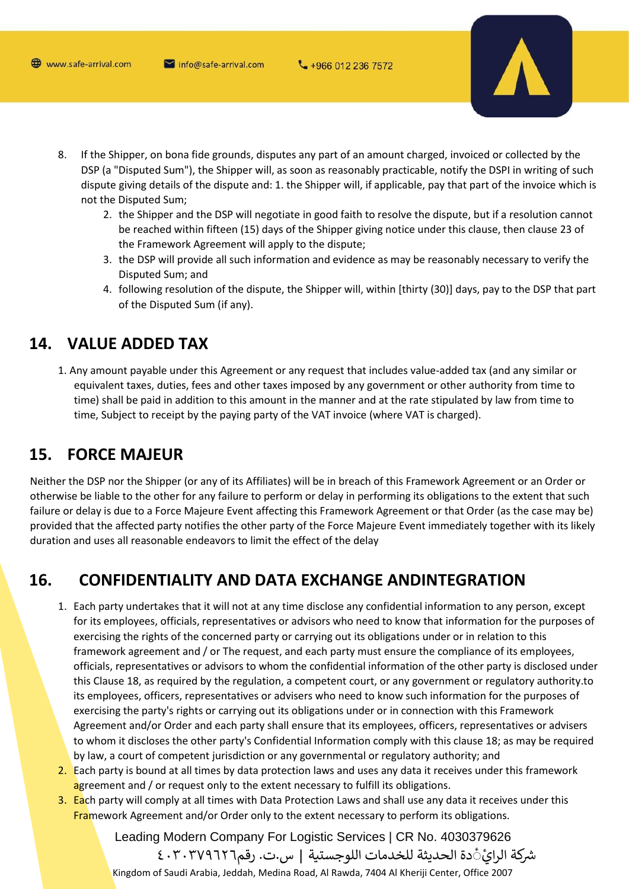

- If the Shipper, on bona fide grounds, disputes any part of an amount charged, invoiced or collected by the 8. DSP (a "Disputed Sum"), the Shipper will, as soon as reasonably practicable, notify the DSPI in writing of such dispute giving details of the dispute and: 1. the Shipper will, if applicable, pay that part of the invoice which is not the Disputed Sum;
	- 2. the Shipper and the DSP will negotiate in good faith to resolve the dispute, but if a resolution cannot be reached within fifteen (15) days of the Shipper giving notice under this clause, then clause 23 of the Framework Agreement will apply to the dispute;
	- 3. the DSP will provide all such information and evidence as may be reasonably necessary to verify the Disputed Sum: and
	- 4. following resolution of the dispute, the Shipper will, within [thirty (30)] days, pay to the DSP that part of the Disputed Sum (if any).

#### **VALUE ADDED TAX** 14.

1. Any amount payable under this Agreement or any request that includes value-added tax (and any similar or equivalent taxes, duties, fees and other taxes imposed by any government or other authority from time to time) shall be paid in addition to this amount in the manner and at the rate stipulated by law from time to time, Subject to receipt by the paying party of the VAT invoice (where VAT is charged).

#### **FORCE MAJEUR** 15.

Neither the DSP nor the Shipper (or any of its Affiliates) will be in breach of this Framework Agreement or an Order or otherwise be liable to the other for any failure to perform or delay in performing its obligations to the extent that such failure or delay is due to a Force Majeure Event affecting this Framework Agreement or that Order (as the case may be) provided that the affected party notifies the other party of the Force Majeure Event immediately together with its likely duration and uses all reasonable endeavors to limit the effect of the delay

#### 16. **CONFIDENTIALITY AND DATA EXCHANGE ANDINTEGRATION**

- 1. Each party undertakes that it will not at any time disclose any confidential information to any person, except for its employees, officials, representatives or advisors who need to know that information for the purposes of exercising the rights of the concerned party or carrying out its obligations under or in relation to this framework agreement and / or The request, and each party must ensure the compliance of its employees, officials, representatives or advisors to whom the confidential information of the other party is disclosed under this Clause 18, as required by the regulation, a competent court, or any government or regulatory authority.to its employees, officers, representatives or advisers who need to know such information for the purposes of exercising the party's rights or carrying out its obligations under or in connection with this Framework Agreement and/or Order and each party shall ensure that its employees, officers, representatives or advisers to whom it discloses the other party's Confidential Information comply with this clause 18; as may be required by law, a court of competent jurisdiction or any governmental or regulatory authority; and
- 2. Each party is bound at all times by data protection laws and uses any data it receives under this framework agreement and / or request only to the extent necessary to fulfill its obligations.
- 3. Each party will comply at all times with Data Protection Laws and shall use any data it receives under this Framework Agreement and/or Order only to the extent necessary to perform its obligations.

Leading Modern Company For Logistic Services | CR No. 4030379626 شركة الرائِ1َ دة الحديثة للخدمات اللوجستية | س.ت. رقم٢٠٣٧٩٦٢٦ ٤٠٣ Kingdom of Saudi Arabia, Jeddah, Medina Road, Al Rawda, 7404 Al Kheriji Center, Office 2007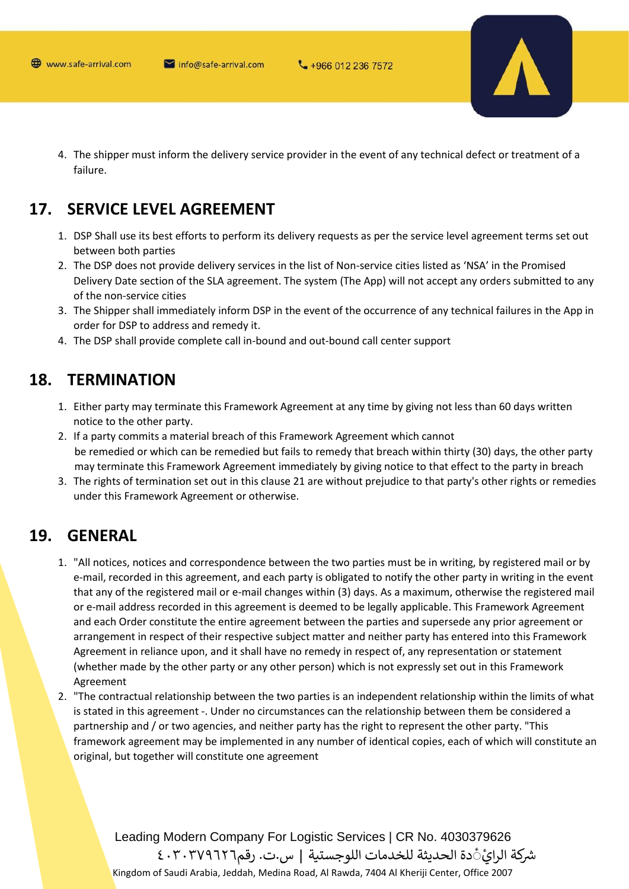

4. The shipper must inform the delivery service provider in the event of any technical defect or treatment of a failure.

#### $17.$ **SERVICE LEVEL AGREEMENT**

- 1. DSP Shall use its best efforts to perform its delivery requests as per the service level agreement terms set out between both parties
- 2. The DSP does not provide delivery services in the list of Non-service cities listed as 'NSA' in the Promised Delivery Date section of the SLA agreement. The system (The App) will not accept any orders submitted to any of the non-service cities
- 3. The Shipper shall immediately inform DSP in the event of the occurrence of any technical failures in the App in order for DSP to address and remedy it.
- 4. The DSP shall provide complete call in-bound and out-bound call center support

#### 18. **TERMINATION**

- 1. Either party may terminate this Framework Agreement at any time by giving not less than 60 days written notice to the other party.
- 2. If a party commits a material breach of this Framework Agreement which cannot be remedied or which can be remedied but fails to remedy that breach within thirty (30) days, the other party may terminate this Framework Agreement immediately by giving notice to that effect to the party in breach
- 3. The rights of termination set out in this clause 21 are without prejudice to that party's other rights or remedies under this Framework Agreement or otherwise.

#### 19. **GENERAL**

- 1. "All notices, notices and correspondence between the two parties must be in writing, by registered mail or by e-mail, recorded in this agreement, and each party is obligated to notify the other party in writing in the event that any of the registered mail or e-mail changes within (3) days. As a maximum, otherwise the registered mail or e-mail address recorded in this agreement is deemed to be legally applicable. This Framework Agreement and each Order constitute the entire agreement between the parties and supersede any prior agreement or arrangement in respect of their respective subject matter and neither party has entered into this Framework Agreement in reliance upon, and it shall have no remedy in respect of, any representation or statement (whether made by the other party or any other person) which is not expressly set out in this Framework Agreement
- 2. "The contractual relationship between the two parties is an independent relationship within the limits of what is stated in this agreement -. Under no circumstances can the relationship between them be considered a partnership and / or two agencies, and neither party has the right to represent the other party. "This framework agreement may be implemented in any number of identical copies, each of which will constitute an original, but together will constitute one agreement

Leading Modern Company For Logistic Services | CR No. 4030379626 شركة الرائَّ دة الحديثة للخدمات اللوجستية | س.ت. رقم٢٠٣٧٩٦٢٦ ٤٠٣ Kingdom of Saudi Arabia, Jeddah, Medina Road, Al Rawda, 7404 Al Kheriji Center, Office 2007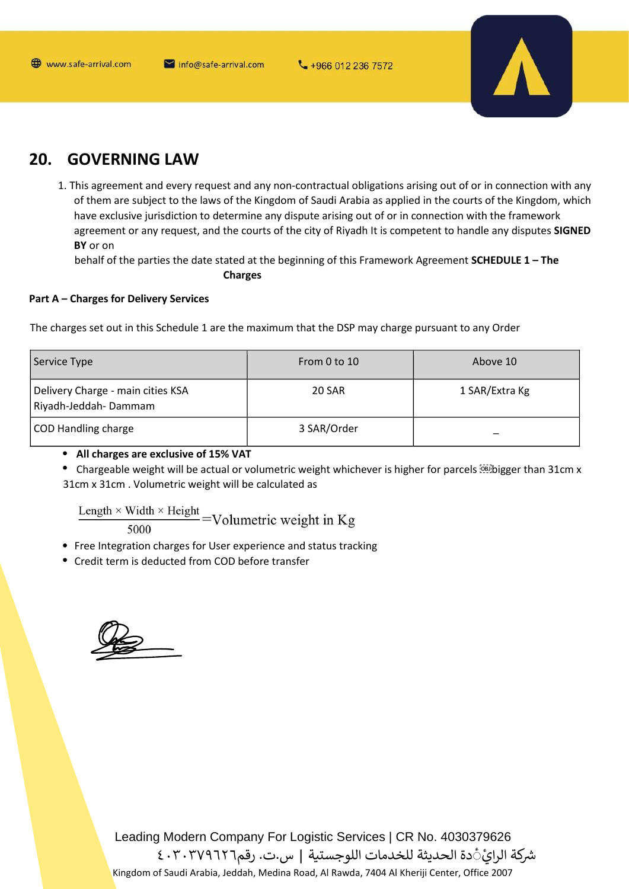

#### $20.$ **GOVERNING LAW**

1. This agreement and every request and any non-contractual obligations arising out of or in connection with any of them are subject to the laws of the Kingdom of Saudi Arabia as applied in the courts of the Kingdom, which have exclusive jurisdiction to determine any dispute arising out of or in connection with the framework agreement or any request, and the courts of the city of Riyadh It is competent to handle any disputes SIGNED BY or on

behalf of the parties the date stated at the beginning of this Framework Agreement SCHEDULE 1 - The **Charges** 

### **Part A - Charges for Delivery Services**

The charges set out in this Schedule 1 are the maximum that the DSP may charge pursuant to any Order

| Service Type                                              | From 0 to 10  | Above 10       |
|-----------------------------------------------------------|---------------|----------------|
| Delivery Charge - main cities KSA<br>Riyadh-Jeddah-Dammam | <b>20 SAR</b> | 1 SAR/Extra Kg |
| COD Handling charge                                       | 3 SAR/Order   |                |

• All charges are exclusive of 15% VAT

• Chargeable weight will be actual or volumetric weight whichever is higher for parcels **SEE** bigger than 31cm x 31cm x 31cm. Volumetric weight will be calculated as

 $\frac{\text{Length} \times \text{Width} \times \text{Height}}{\text{Area}} = \text{Volumetric weight in Kg}$ 

- Free Integration charges for User experience and status tracking
- Credit term is deducted from COD before transfer

Leading Modern Company For Logistic Services | CR No. 4030379626 شركة الرائِ ًدة الحديثة للخدمات اللوجستية | س.ت. رقم٢٠٣٧٩٦٢٦ ٤٠٣ Kingdom of Saudi Arabia, Jeddah, Medina Road, Al Rawda, 7404 Al Kheriji Center, Office 2007